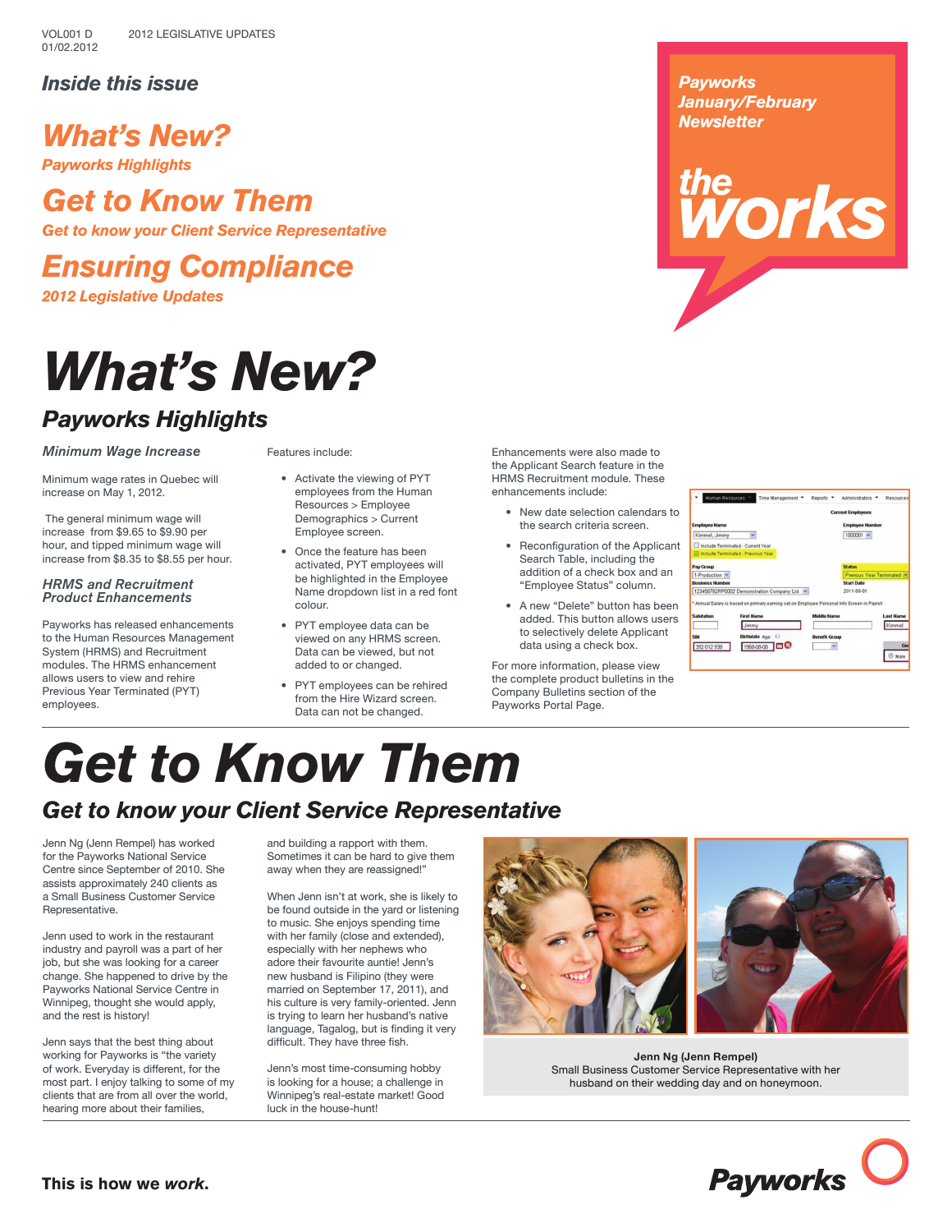## *Inside this issue*

## *What's New?*

*Payworks Highlights*

## *Get to Know Them*

*Get to know your Client Service Representative*

# *Ensuring Compliance*

*2012 Legislative Updates*

# *What's New?*

## *Payworks Highlights*

*Minimum Wage Increase*

Features include:

Minimum wage rates in Quebec will increase on May 1, 2012.

 The general minimum wage will increase from \$9.65 to \$9.90 per hour, and tipped minimum wage will increase from \$8.35 to \$8.55 per hour.

## *HRMS and Recruitment Product Enhancements*

Payworks has released enhancements to the Human Resources Management System (HRMS) and Recruitment modules. The HRMS enhancement allows users to view and rehire Previous Year Terminated (PYT) employees.

• Activate the viewing of PYT employees from the Human Resources > Employee Demographics > Current

- Employee screen. • Once the feature has been activated, PYT employees will be highlighted in the Employee Name dropdown list in a red font colour.
- PYT employee data can be viewed on any HRMS screen. Data can be viewed, but not added to or changed.
- PYT employees can be rehired from the Hire Wizard screen. Data can not be changed.

Enhancements were also made to the Applicant Search feature in the HRMS Recruitment module. These enhancements include:

- New date selection calendars to the search criteria screen.
- Reconfiguration of the Applicant Search Table, including the addition of a check box and an "Employee Status" column.
- A new "Delete" button has been added. This button allows users to selectively delete Applicant data using a check box.

For more information, please view the complete product bulletins in the Company Bulletins section of the Payworks Portal Page.

*Payworks January/February Newsletter*

# ne<br>*N*orks

Time Management . Reports Administrators - $1000001 -$ Grnmel, Jimmy inated - Current Year<br>Inated - Current Year 23456782RP0002 Demonstration Company Ltd. Jimmy 392 012 938 1968-08-08 08

# *Get to Know Them Get to know your Client Service Representative*

Jenn Ng (Jenn Rempel) has worked for the Payworks National Service Centre since September of 2010. She assists approximately 240 clients as a Small Business Customer Service Representative.

Jenn used to work in the restaurant industry and payroll was a part of her job, but she was looking for a career change. She happened to drive by the Payworks National Service Centre in Winnipeg, thought she would apply, and the rest is history!

Jenn says that the best thing about working for Payworks is "the variety of work. Everyday is different, for the most part. I enjoy talking to some of my clients that are from all over the world, hearing more about their families,

and building a rapport with them. Sometimes it can be hard to give them away when they are reassigned!"

When Jenn isn't at work, she is likely to be found outside in the yard or listening to music. She enjoys spending time with her family (close and extended), especially with her nephews who adore their favourite auntie! Jenn's new husband is Filipino (they were married on September 17, 2011), and his culture is very family-oriented. Jenn is trying to learn her husband's native language, Tagalog, but is finding it very difficult. They have three fish.

Jenn's most time-consuming hobby is looking for a house; a challenge in Winnipeg's real-estate market! Good luck in the house-hunt!





**Jenn Ng (Jenn Rempel)** Small Business Customer Service Representative with her husband on their wedding day and on honeymoon.